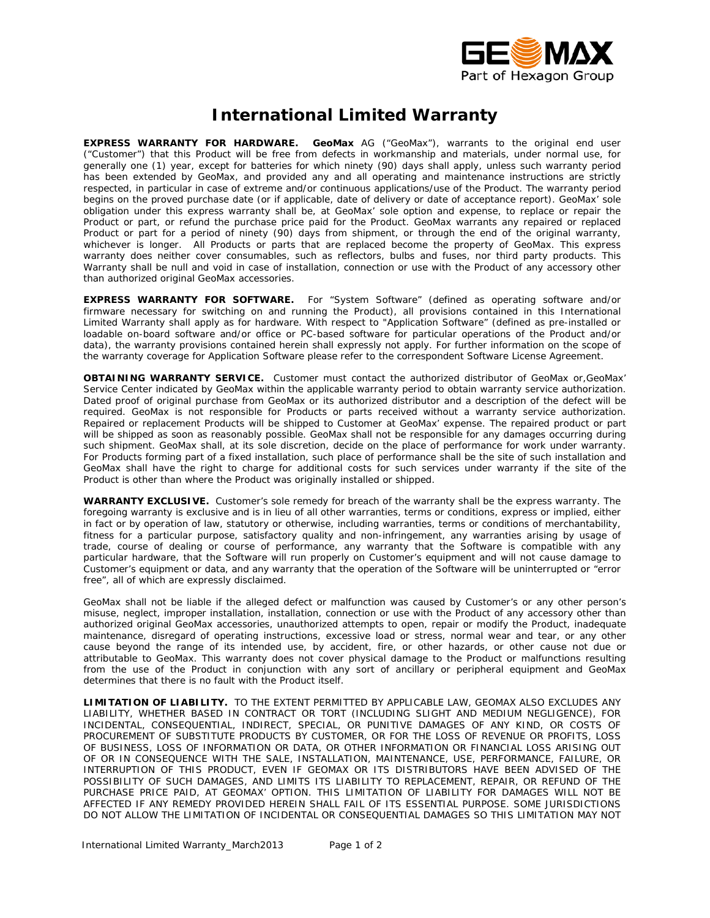

## *International Limited Warranty*

**EXPRESS WARRANTY FOR HARDWARE.** GeoMax AG ("GeoMax"), warrants to the original end user ("Customer") that this Product will be free from defects in workmanship and materials, under normal use, for generally one (1) year, except for batteries for which ninety (90) days shall apply, unless such warranty period has been extended by GeoMax, and provided any and all operating and maintenance instructions are strictly respected, in particular in case of extreme and/or continuous applications/use of the Product. The warranty period begins on the proved purchase date (or if applicable, date of delivery or date of acceptance report). GeoMax' sole obligation under this express warranty shall be, at GeoMax' sole option and expense, to replace or repair the Product or part, or refund the purchase price paid for the Product. GeoMax warrants any repaired or replaced Product or part for a period of ninety (90) days from shipment, or through the end of the original warranty, whichever is longer. All Products or parts that are replaced become the property of GeoMax. This express warranty does neither cover consumables, such as reflectors, bulbs and fuses, nor third party products. This Warranty shall be null and void in case of installation, connection or use with the Product of any accessory other than authorized original GeoMax accessories.

**EXPRESS WARRANTY FOR SOFTWARE.** For "System Software" (defined as operating software and/or firmware necessary for switching on and running the Product), all provisions contained in this International Limited Warranty shall apply as for hardware. With respect to "Application Software" (defined as pre-installed or loadable on-board software and/or office or PC-based software for particular operations of the Product and/or data), the warranty provisions contained herein shall expressly not apply. For further information on the scope of the warranty coverage for Application Software please refer to the correspondent Software License Agreement.

**OBTAINING WARRANTY SERVICE.** Customer must contact the authorized distributor of GeoMax or,GeoMax' Service Center indicated by GeoMax within the applicable warranty period to obtain warranty service authorization. Dated proof of original purchase from GeoMax or its authorized distributor and a description of the defect will be required. GeoMax is not responsible for Products or parts received without a warranty service authorization. Repaired or replacement Products will be shipped to Customer at GeoMax' expense. The repaired product or part will be shipped as soon as reasonably possible. GeoMax shall not be responsible for any damages occurring during such shipment. GeoMax shall, at its sole discretion, decide on the place of performance for work under warranty. For Products forming part of a fixed installation, such place of performance shall be the site of such installation and GeoMax shall have the right to charge for additional costs for such services under warranty if the site of the Product is other than where the Product was originally installed or shipped.

**WARRANTY EXCLUSIVE.** Customer's sole remedy for breach of the warranty shall be the express warranty. The foregoing warranty is exclusive and is in lieu of all other warranties, terms or conditions, express or implied, either in fact or by operation of law, statutory or otherwise, including warranties, terms or conditions of merchantability, fitness for a particular purpose, satisfactory quality and non-infringement, any warranties arising by usage of trade, course of dealing or course of performance, any warranty that the Software is compatible with any particular hardware, that the Software will run properly on Customer's equipment and will not cause damage to Customer's equipment or data, and any warranty that the operation of the Software will be uninterrupted or "error free", all of which are expressly disclaimed.

GeoMax shall not be liable if the alleged defect or malfunction was caused by Customer's or any other person's misuse, neglect, improper installation, installation, connection or use with the Product of any accessory other than authorized original GeoMax accessories, unauthorized attempts to open, repair or modify the Product, inadequate maintenance, disregard of operating instructions, excessive load or stress, normal wear and tear, or any other cause beyond the range of its intended use, by accident, fire, or other hazards, or other cause not due or attributable to GeoMax. This warranty does not cover physical damage to the Product or malfunctions resulting from the use of the Product in conjunction with any sort of ancillary or peripheral equipment and GeoMax determines that there is no fault with the Product itself.

**LIMITATION OF LIABILITY.** TO THE EXTENT PERMITTED BY APPLICABLE LAW, GEOMAX ALSO EXCLUDES ANY LIABILITY, WHETHER BASED IN CONTRACT OR TORT (INCLUDING SLIGHT AND MEDIUM NEGLIGENCE), FOR INCIDENTAL, CONSEQUENTIAL, INDIRECT, SPECIAL, OR PUNITIVE DAMAGES OF ANY KIND, OR COSTS OF PROCUREMENT OF SUBSTITUTE PRODUCTS BY CUSTOMER, OR FOR THE LOSS OF REVENUE OR PROFITS, LOSS OF BUSINESS, LOSS OF INFORMATION OR DATA, OR OTHER INFORMATION OR FINANCIAL LOSS ARISING OUT OF OR IN CONSEQUENCE WITH THE SALE, INSTALLATION, MAINTENANCE, USE, PERFORMANCE, FAILURE, OR INTERRUPTION OF THIS PRODUCT, EVEN IF GEOMAX OR ITS DISTRIBUTORS HAVE BEEN ADVISED OF THE POSSIBILITY OF SUCH DAMAGES, AND LIMITS ITS LIABILITY TO REPLACEMENT, REPAIR, OR REFUND OF THE PURCHASE PRICE PAID, AT GEOMAX' OPTION. THIS LIMITATION OF LIABILITY FOR DAMAGES WILL NOT BE AFFECTED IF ANY REMEDY PROVIDED HEREIN SHALL FAIL OF ITS ESSENTIAL PURPOSE. SOME JURISDICTIONS DO NOT ALLOW THE LIMITATION OF INCIDENTAL OR CONSEQUENTIAL DAMAGES SO THIS LIMITATION MAY NOT